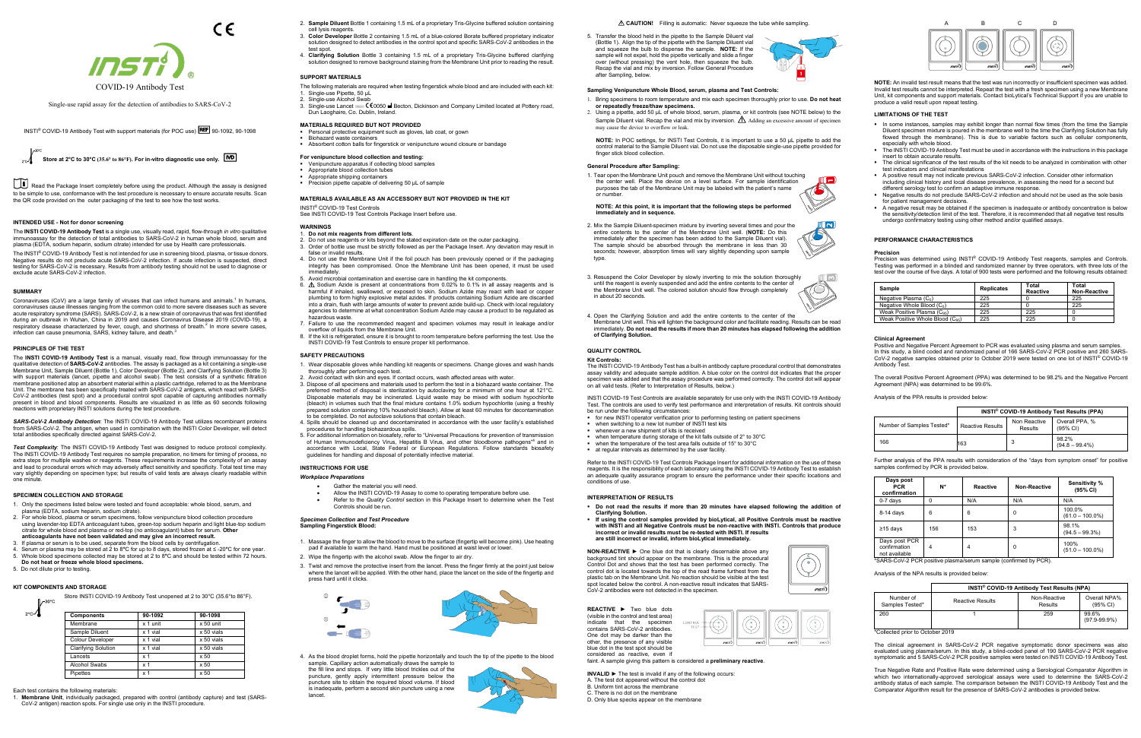

 $\epsilon$ 

Single-use rapid assay for the detection of antibodies to SARS-CoV-2

INSTI® COVID-19 Antibody Test with support materials (for POC use) REF 90-1092, 90-1098



Read the Package Insert completely before using the product. Although the assay is designed to be simple to use, conformance with the test procedure is necessary to ensure accurate results. Scan the QR code provided on the outer packaging of the test to see how the test works.

# **INTENDED USE - Not for donor screening**

The INSTI® COVID-19 Antibody Test is not intended for use in screening blood, plasma, or tissue donors. Negative results do not preclude acute SARS-CoV-2 infection. If acute infection is suspected, direct testing for SARS-CoV-2 is necessary. Results from antibody testing should not be used to diagnose or exclude acute SARS-CoV-2 infection.

The **INSTI COVID-19 Antibody Test** is a single use, visually read, rapid, flow-through *in vitro* qualitative immunoassay for the detection of total antibodies to SARS-CoV-2 in human whole blood, serum and plasma (EDTA, sodium heparin, sodium citrate) intended for use by Health care professionals.

## **SUMMARY**

Coronaviruses (CoV) are a large family of viruses that can infect humans and animals.<sup>1</sup> In humans, coronaviruses cause illnesses ranging from the common cold to more severe diseases such as severe acute respiratory syndrome (SARS). SARS-CoV-2, is a new strain of coronavirus that was first identified during an outbreak in Wuhan, China in 2019 and causes Coronavirus Disease 2019 (COVID-19), a respiratory disease characterized by fever, cough, and shortness of breath.<sup>2</sup> In more severe cases,<br>infection can cause pneumonia, SARS, kidney failure, and death.<sup>3</sup>

## **PRINCIPLES OF THE TEST**

Store INSTI COVID-19 Antibody Test unopened at 2 to 30°C (35.6°to 86°F).  $0 - 30^{\circ}$ C

The **INSTI COVID-19 Antibody Test** is a manual, visually read, flow through immunoassay for the qualitative detection of **SARS-CoV-2** antibodies. The assay is packaged as a kit containing a single-use Membrane Unit, Sample Diluent (Bottle 1), Color Developer (Bottle 2), and Clarifying Solution (Bottle 3) with support materials (lancet, pipette and alcohol swab). The test consists of a synthetic filtration membrane positioned atop an absorbent material within a plastic cartridge, referred to as the Membrane Unit. The membrane has been specifically treated with SARS-CoV-2 antigens, which react with SARS-CoV-2 antibodies (test spot) and a procedural control spot capable of capturing antibodies normally present in blood and blood components. Results are visualized in as little as 60 seconds following reactions with proprietary INSTI solutions during the test procedure.

*SARS-CoV-2 Antibody Detection*: The INSTI COVID-19 Antibody Test utilizes recombinant proteins from SARS-CoV-2. The antigen, when used in combination with the INSTI Color Developer, will detect total antibodies specifically directed against SARS-CoV-2.

*Test Complexity*: The INSTI COVID-19 Antibody Test was designed to reduce protocol complexity. The INSTI COVID-19 Antibody Test requires no sample preparation, no timers for timing of process, no extra steps for multiple washes or reagents. These requirements increase the complexity of an assay and lead to procedural errors which may adversely affect sensitivity and specificity. Total test time may vary slightly depending on specimen type; but results of valid tests are always clearly readable within one minute.

## **SPECIMEN COLLECTION AND STORAGE**

- 1. Only the specimens listed below were tested and found acceptable: whole blood, serum, and plasma (EDTA, sodium heparin, sodium citrate).
- 2. For whole blood, plasma or serum specimens, follow venipuncture blood collection procedure using lavender-top EDTA anticoagulant tubes, green-top sodium heparin and light blue-top sodium citrate for whole blood and plasma or red-top (no anticoagulant) tubes for serum. **Other anticoagulants have not been validated and may give an incorrect result.**
- 3. If plasma or serum is to be used, separate from the blood cells by centrifugation.
- 4. Serum or plasma may be stored at 2 to 8**°**C for up to 8 days, stored frozen at ≤ -20**°**C for one year. 5. Whole blood specimens collected may be stored at 2 to 8**°**C and should be tested within 72 hours.
- **Do not heat or freeze whole blood specimens.**
- 5. Do not dilute prior to testing.

 $2^{\circ}$ c $\Lambda$ 

## **KIT COMPONENTS AND STORAGE**

Each test contains the following materials:

1. **Membrane Unit**, individually packaged, prepared with control (antibody capture) and test (SARS-CoV-2 antigen) reaction spots. For single use only in the INSTI procedure.

- 2. **Sample Diluent** Bottle 1 containing 1.5 mL of a proprietary Tris-Glycine buffered solution containing cell lysis reagents.
- 3. **Color Developer** Bottle 2 containing 1.5 mL of a blue-colored Borate buffered proprietary indicator solution designed to detect antibodies in the control spot and specific SARS-CoV-2 antibodies in the test spot.
- 4. **Clarifying Solution** Bottle 3 containing 1.5 mL of a proprietary Tris-Glycine buffered clarifying solution designed to remove background staining from the Membrane Unit prior to reading the result.

## **SUPPORT MATERIALS**

- The following materials are required when testing fingerstick whole blood and are included with each kit: 1. Single-use Pipette, 50 μL
- 2. Single-use Alcohol Swab
- 3. Single-use Lancet Maria C C0050 M Becton, Dickinson and Company Limited located at Pottery road, Dun Laoghaire, Co. Dublin, Ireland.

#### **MATERIALS REQUIRED BUT NOT PROVIDED**

- Personal protective equipment such as gloves, lab coat, or gown
- Biohazard waste containers Absorbent cotton balls for fingerstick or venipuncture wound closure or bandage

# **For venipuncture blood collection and testing:**

**NOTE: At this point, it is important that the following steps be performed**  *<u>ediately</u>* and in sequence.

- Venipuncture apparatus if collecting blood samples Appropriate blood collection tubes
- Appropriate shipping containers
- Precision pipette capable of delivering 50 μL of sample

# **MATERIALS AVAILABLE AS AN ACCESSORY BUT NOT PROVIDED IN THE KIT**

#### INSTI® COVID-19 Test Controls

See INSTI COVID-19 Test Controls Package Insert before use.

# **WARNINGS**

- 1. **Do not mix reagents from different lots**.
- 2. Do not use reagents or kits beyond the stated expiration date on the outer packaging. 3. Order of bottle use must be strictly followed as per the Package Insert. Any deviation may result in false or invalid results.
- 4. Do not use the Membrane Unit if the foil pouch has been previously opened or if the packaging integrity has been compromised. Once the Membrane Unit has been opened, it must be used immediately.
- Avoid microbial contamination and exercise care in handling the kit components.
- 6.  $\Delta$  Sodium Azide is present at concentrations from 0.02% to 0.1% in all assay reagents and is harmful if inhaled, swallowed, or exposed to skin. Sodium Azide may react with lead or copper plumbing to form highly explosive metal azides. If products containing Sodium Azide are discarded into a drain, flush with large amounts of water to prevent azide build-up. Check with local regulatory agencies to determine at what concentration Sodium Azide may cause a product to be regulated as hazardous waste.
- 7. Failure to use the recommended reagent and specimen volumes may result in leakage and/or overflow of liquids from the Membrane Unit.
- 8. If the kit is refrigerated, ensure it is brought to room temperature before performing the test. Use the INSTI COVID-19 Test Controls to ensure proper kit performance.

## **SAFETY PRECAUTIONS**

- 1. Wear disposable gloves while handling kit reagents or specimens. Change gloves and wash hands thoroughly after performing each test.
- 2. Avoid contact with skin and eyes. If contact occurs, wash affected areas with water.
- 3. Dispose of all specimens and materials used to perform the test in a biohazard waste container. The preferred method of disposal is sterilization by autoclaving for a minimum of one hour at 121°C. Disposable materials may be incinerated. Liquid waste may be mixed with sodium hypochlorite (bleach) in volumes such that the final mixture contains 1.0% sodium hypochlorite (using a freshly prepared solution containing 10% household bleach). Allow at least 60 minutes for deconta to be completed. Do not autoclave solutions that contain bleach.
- 4. Spills should be cleaned up and decontaminated in accordance with the user facility's established procedures for handling biohazardous spills.
- 5. For additional information on biosafety, refer to "Universal Precautions for prevention of transmission of Human Immunodeficiency Virus, Hepatitis B Virus, and other bloodborne pathogens"<sup>4</sup> and in<br>accordance with Local, State Federal or European Regulations. Follow standards biosafety guidelines for handling and disposal of potentially infective material.

## **INSTRUCTIONS FOR USE**

## *Workplace Preparations*

- Gather the material you will need.
- Allow the INSTI COVID-19 Assay to come to operating temperature before use.
- Refer to the *Quality Control* section in this Package Insert to determine when the Test Controls should be ru

The overall Positive Percent Agreement (PPA) was determined to be 98.2% and the Negative Percent Agreement (NPA) was determined to be 99.6%

#### *Specimen Collection and Test Procedure* **Sampling Fingerstick Blood:**

- 1. Massage the finger to allow the blood to move to the surface (fingertip will become pink). Use heating pad if available to warm the hand. Hand must be positioned at waist level or lowe
- 2. Wipe the fingertip with the alcohol swab. Allow the finger to air dry.
- 3. Twist and remove the protective insert from the lancet. Press the finger firmly at the point just below where the lancet will be applied. With the other hand, place the lancet on the side of the fingertip and press hard until it clicks.



True Negative Rate and Positive Rate were determined using a Serological Comparator Algorithm in which two internationally-approved serological assays were used to determine the SARS-CoV-2 antibody status of each sample. The comparison between the INSTI COVID-19 Antibody Test and the Comparator Algorithm result for the presence of SARS-CoV-2 antibodies is provided below

4. As the blood droplet forms, hold the pipette horizontally and touch the tip of the pipette to the blood sample. Capillary action automatically draws the sample to

the fill line and stops. If very little blood trickles out of the puncture, gently apply intermittent pressure below the puncture site to obtain the required blood volume. If blood is inadequate, perform a second skin puncture using a new lancet.



### $\triangle$  **CAUTION!** Filling is automatic: Never squeeze the tube while sampling.

5. Transfer the blood held in the pipette to the Sample Diluent vial (Bottle 1). Align the tip of the pipette with the Sample Diluent vial and squeeze the bulb to dispense the sample. **NOTE:** If the sample will not expel, hold the pipette vertically and slide a finger over (without pressing) the vent hole, then squeeze the bulb. Recap the vial and mix by inversion. Follow General Procedure after Sampling, below.



# **Sampling Venipuncture Whole Blood, serum, plasma and Test Controls:**

- 1. Bring specimens to room temperature and mix each specimen thoroughly prior to use. **Do not heat or repeatedly freeze/thaw specimens.** 2. Using a pipette, add 50 μL of whole blood, serum, plasma, or kit controls (see NOTE below) to the
- Sample Diluent vial. Recap the vial and mix by inversion.  $\Delta$  Adding an excessive amount of specimen may cause the device to overflow or leak.

**NOTE:** In POC settings, for INSTI Test Controls, it is important to use a 50 μL pipette to add the control material to the Sample Diluent vial. Do not use the disposable single-use pipette provided for finger stick blood collection.

## **General Procedure after Sampling:**

1. Tear open the Membrane Unit pouch and remove the Membrane Unit without touching the center well. Place the device on a level surface. For sample identification purposes the tab of the Membrane Unit may be labeled with the patient's name or number.

- 2. Mix the Sample Diluent-specimen mixture by inverting several times and pour the entire contents to the center of the Membrane Unit well. (**NOTE:** Do this immediately after the specimen has been added to the Sample Diluent vial). The sample should be absorbed through the membrane in less than 30 seconds; however, absorption times will vary slightly depending upon sample type.
- 3. Resuspend the Color Developer by slowly inverting to mix the solution thoroughly until the reagent is evenly suspended and add the entire contents to the center of the Membrane Unit well. The colored solution should flow through completely in about 20 seconds.
- 4. Open the Clarifying Solution and add the entire contents to the center of the Membrane Unit well. This will lighten the background color and facilitate reading. Results can be read immediately. **Do not read the results if more than 20 minutes has elapsed following the addition of Clarifying Solution.**

## **QUALITY CONTROL**

### **Kit Controls:**

The INSTI COVID-19 Antibody Test has a built-in antibody capture procedural control that demonstrates assay validity and adequate sample addition. A blue color on the control dot indicates that the proper specimen was added and that the assay procedure was performed correctly. The control dot will appear on all valid tests. (Refer to Interpretation of Results, below.)

INSTI COVID-19 Test Controls are available separately for use only with the INSTI COVID-19 Antibody Test. The controls are used to verify test performance and interpretation of results. Kit controls should be run under the following circumstances:

- for new INSTI operator verification prior to performing testing on patient specimens
- when switching to a new lot number of INSTI test kits
- whenever a new shipment of kits is received
- when temperature during storage of the kit falls outside of 2° to 30°C when the temperature of the test area falls outside of 15° to 30°C
- at regular intervals as determined by the user facility.

Refer to the INSTI COVID-19 Test Controls Package Insert for additional information on the use of these reagents. It is the responsibility of each laboratory using the INSTI COVID-19 Antibody Test to establish an adequate quality assurance program to ensure the performance under their specific locations and conditions of use.

## **INTERPRETATION OF RESULTS**

- **Do not read the results if more than 20 minutes have elapsed following the addition of Clarifying Solution.**
- **If using the control samples provided by bioLytical, all Positive Controls must be reactive with INSTI and all Negative Controls must be non-reactive with INSTI. Controls that produce incorrect or invalid results must be re-tested with INSTI. If results are still incorrect or invalid, inform bioLytical immediately.**

**NON-REACTIVE** ► One blue dot that is clearly discernable above any background tint should appear on the membrane. This is the procedural Control Dot and shows that the test has been performed correctly. The control dot is located towards the top of the read frame furthest from the plastic tab on the Membrane Unit. No reaction should be visible at the test spot located below the control. A non-reactive result indicates that SARS-CoV-2 antibodies were not detected in the specimen.

**REACTIVE** ► Two blue dots (visible in the control and test area) indicate that the specimen contains SARS-CoV-2 antibodies. One dot may be darker than the other, the presence of any visible blue dot in the test spot should be considered as reactive, even if faint. A sample giving this pattern is considered a **preliminary reactive**.



**INVALID** ► The test is invalid if any of the following occurs: A. The test dot appeared without the control dot B. Uniform tint across the membrane There is no dot on the membrane D. Only blue specks appear on the membrane





**NOTE:** An invalid test result means that the test was run incorrectly or insufficient specimen was added. Invalid test results cannot be interpreted. Repeat the test with a fresh specimen using a new Membrane Unit, kit components and support materials. Contact bioLytical's Technical Support if you are unable to produce a valid result upon repeat testing.

## **LIMITATIONS OF THE TEST**

- In some instances, samples may exhibit longer than normal flow times (from the time the Sample Diluent specimen mixture is poured in the membrane well to the time the Clarifying Solution has fully flowed through the membrane). This is due to variable factors such as cellular components especially with whole blood.
- The INSTI COVID-19 Antibody Test must be used in accordance with the instructions in this package insert to obtain accurate results.
- The clinical significance of the test results of the kit needs to be analyzed in combination with other test indicators and clinical manifestations A positive result may not indicate previous SARS-CoV-2 infection. Consider other information
- including clinical history and local disease prevalence, in assessing the need for a second but
- different serology test to confirm an adaptive immune response. Negative results do not preclude SARS-CoV-2 infection and should not be used as the sole basis r patient management decisions
- A negative result may be obtained if the specimen is inadequate or antibody concentration is below the sensitivity/detection limit of the test. Therefore, it is recommended that all negative test results undergo confirmatory testing using other method and/or qualified assays.

# **PERFORMANCE CHARACTERISTICS**

#### **Precision**

Precision was determined using INSTI® COVID-19 Antibody Test reagents, samples and Controls. Testing was performed in a blinded and randomized manner by three operators, with three lots of the test over the course of five days. A total of 900 tests were performed and the following results obtained:

| Sample                          | <b>Replicates</b> | Total<br>Reactive | Total<br><b>Non-Reactive</b> |
|---------------------------------|-------------------|-------------------|------------------------------|
| Negative Plasma $(C_0)$         | 225               |                   | 225                          |
| Negative Whole Blood $(C_0)$    | 225               |                   | 225                          |
| Weak Positive Plasma (C95)      | 225               | 225               |                              |
| Weak Positive Whole Blood (C95) | 225               | 225               |                              |

#### **Clinical Agreement**

Positive and Negative Percent Agreement to PCR was evaluated using plasma and serum samples. In this study, a blind coded and randomized panel of 166 SARS-CoV-2 PCR positive and 260 SARS-CoV-2 negative samples obtained prior to October 2019 were tested on one lot of INSTI® COVID-19 Antibody Test.

Analysis of the PPA results is provided below:

|                           | INSTI® COVID-19 Antibody Test Results (PPA) |                         |                                      |
|---------------------------|---------------------------------------------|-------------------------|--------------------------------------|
| Number of Samples Tested* | <b>Reactive Results</b>                     | Non Reactive<br>Results | Overall PPA. %<br>$(95% \text{ Cl})$ |
| 166                       | 163                                         |                         | 98.2%<br>$(94.8 - 99.4\%)$           |

Further analysis of the PPA results with consideration of the "days from symptom onset" for positive samples confirmed by PCR is provided below.

| Days post<br><b>PCR</b><br>confirmation        | N*  | Reactive | <b>Non-Reactive</b> | Sensitivity %<br>(95% CI)    |
|------------------------------------------------|-----|----------|---------------------|------------------------------|
| $0-7$ days                                     | 0   | N/A      | N/A                 | N/A                          |
| $8-14$ days                                    | 6   | 6        | 0                   | 100.0%<br>$(61.0 - 100.0\%)$ |
| ≥15 days                                       | 156 | 153      | 3                   | 98.1%<br>$(94.5 - 99.3\%)$   |
| Days post PCR<br>confirmation<br>not available | 4   | 4        | $\Omega$            | 100%<br>$(51.0 - 100.0\%)$   |

not available \*SARS-CoV-2 PCR positive plasma/serum sample (confirmed by PCR).

Analysis of the NPA results is provided below:

|                              | INSTI® COVID-19 Antibody Test Results (NPA) |                         |                                    |  |
|------------------------------|---------------------------------------------|-------------------------|------------------------------------|--|
| Number of<br>Samples Tested* | <b>Reactive Results</b>                     | Non-Reactive<br>Results | Overall NPA%<br>$(95% \text{ Cl})$ |  |
| 260                          |                                             | 259                     | 99.6%<br>$(97.9 - 99.9%)$          |  |

\*Collected prior to October 2019

The clinical agreement in SARS-CoV-2 PCR negative symptomatic donor specimens was also evaluated using plasma/serum. In this study, a blind-coded panel of 190 SARS-CoV-2 PCR negative symptomatic and 5 SARS-CoV-2 PCR positive samples were tested on INSTI COVID-19 Antibody Test.

| -525 | <b>Components</b>          | 90-1092        | 90-1098    |
|------|----------------------------|----------------|------------|
|      | Membrane                   | x 1 unit       | x 50 unit  |
|      | Sample Diluent             | x 1 vial       | x 50 vials |
|      | Colour Developer           | x 1 vial       | x 50 vials |
|      | <b>Clarifying Solution</b> | x 1 vial       | x 50 vials |
|      | Lancets                    | x 1            | x50        |
|      | <b>Alcohol Swabs</b>       | x 1            | x 50       |
|      | Pipettes                   | x <sub>1</sub> | x 50       |